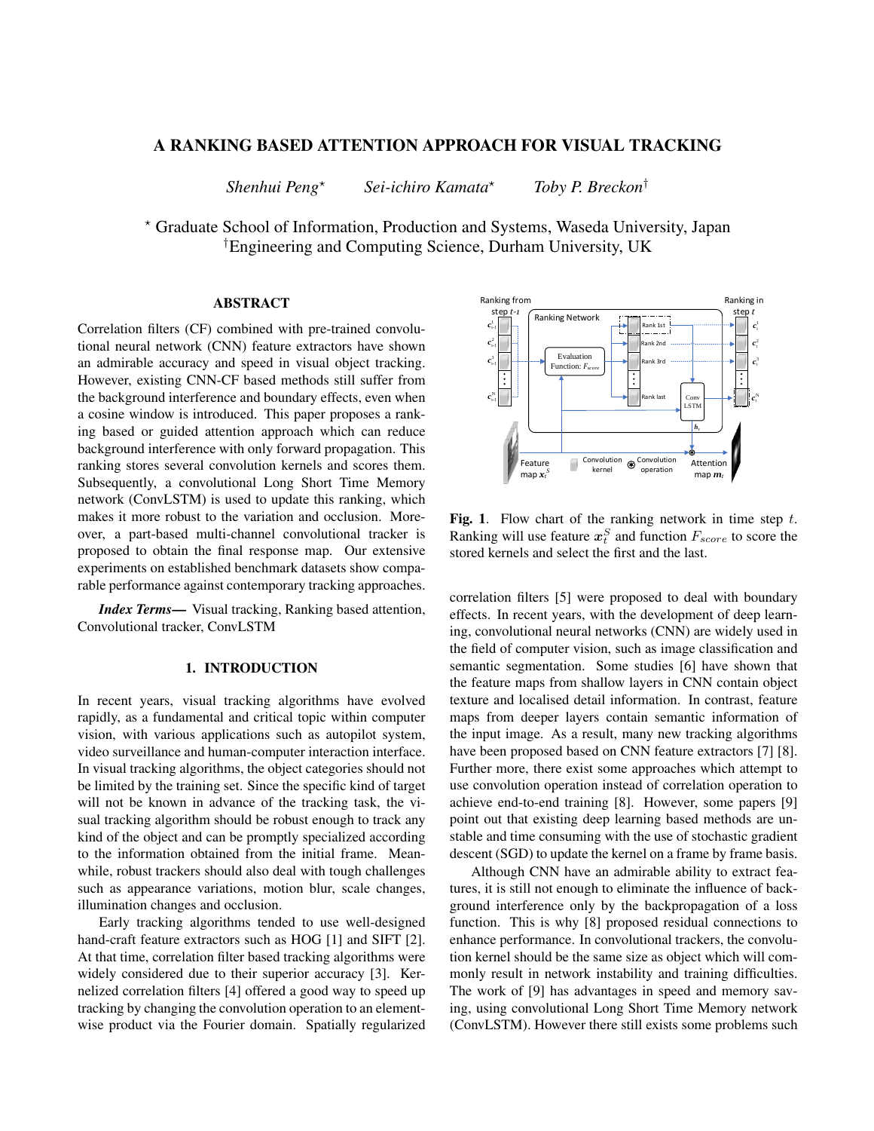# A RANKING BASED ATTENTION APPROACH FOR VISUAL TRACKING

*Shenhui Peng*? *Sei-ichiro Kamata*? *Toby P. Breckon*†

? Graduate School of Information, Production and Systems, Waseda University, Japan

†Engineering and Computing Science, Durham University, UK

#### ABSTRACT

Correlation filters (CF) combined with pre-trained convolutional neural network (CNN) feature extractors have shown an admirable accuracy and speed in visual object tracking. However, existing CNN-CF based methods still suffer from the background interference and boundary effects, even when a cosine window is introduced. This paper proposes a ranking based or guided attention approach which can reduce background interference with only forward propagation. This ranking stores several convolution kernels and scores them. Subsequently, a convolutional Long Short Time Memory network (ConvLSTM) is used to update this ranking, which makes it more robust to the variation and occlusion. Moreover, a part-based multi-channel convolutional tracker is proposed to obtain the final response map. Our extensive experiments on established benchmark datasets show comparable performance against contemporary tracking approaches.

*Index Terms*— Visual tracking, Ranking based attention, Convolutional tracker, ConvLSTM

# 1. INTRODUCTION

In recent years, visual tracking algorithms have evolved rapidly, as a fundamental and critical topic within computer vision, with various applications such as autopilot system, video surveillance and human-computer interaction interface. In visual tracking algorithms, the object categories should not be limited by the training set. Since the specific kind of target will not be known in advance of the tracking task, the visual tracking algorithm should be robust enough to track any kind of the object and can be promptly specialized according to the information obtained from the initial frame. Meanwhile, robust trackers should also deal with tough challenges such as appearance variations, motion blur, scale changes, illumination changes and occlusion.

Early tracking algorithms tended to use well-designed hand-craft feature extractors such as HOG [1] and SIFT [2]. At that time, correlation filter based tracking algorithms were widely considered due to their superior accuracy [3]. Kernelized correlation filters [4] offered a good way to speed up tracking by changing the convolution operation to an elementwise product via the Fourier domain. Spatially regularized



Fig. 1. Flow chart of the ranking network in time step  $t$ . Ranking will use feature  $x_t^S$  and function  $F_{score}$  to score the stored kernels and select the first and the last.

correlation filters [5] were proposed to deal with boundary effects. In recent years, with the development of deep learning, convolutional neural networks (CNN) are widely used in the field of computer vision, such as image classification and semantic segmentation. Some studies [6] have shown that the feature maps from shallow layers in CNN contain object texture and localised detail information. In contrast, feature maps from deeper layers contain semantic information of the input image. As a result, many new tracking algorithms have been proposed based on CNN feature extractors [7] [8]. Further more, there exist some approaches which attempt to use convolution operation instead of correlation operation to achieve end-to-end training [8]. However, some papers [9] point out that existing deep learning based methods are unstable and time consuming with the use of stochastic gradient descent (SGD) to update the kernel on a frame by frame basis.

Although CNN have an admirable ability to extract features, it is still not enough to eliminate the influence of background interference only by the backpropagation of a loss function. This is why [8] proposed residual connections to enhance performance. In convolutional trackers, the convolution kernel should be the same size as object which will commonly result in network instability and training difficulties. The work of [9] has advantages in speed and memory saving, using convolutional Long Short Time Memory network (ConvLSTM). However there still exists some problems such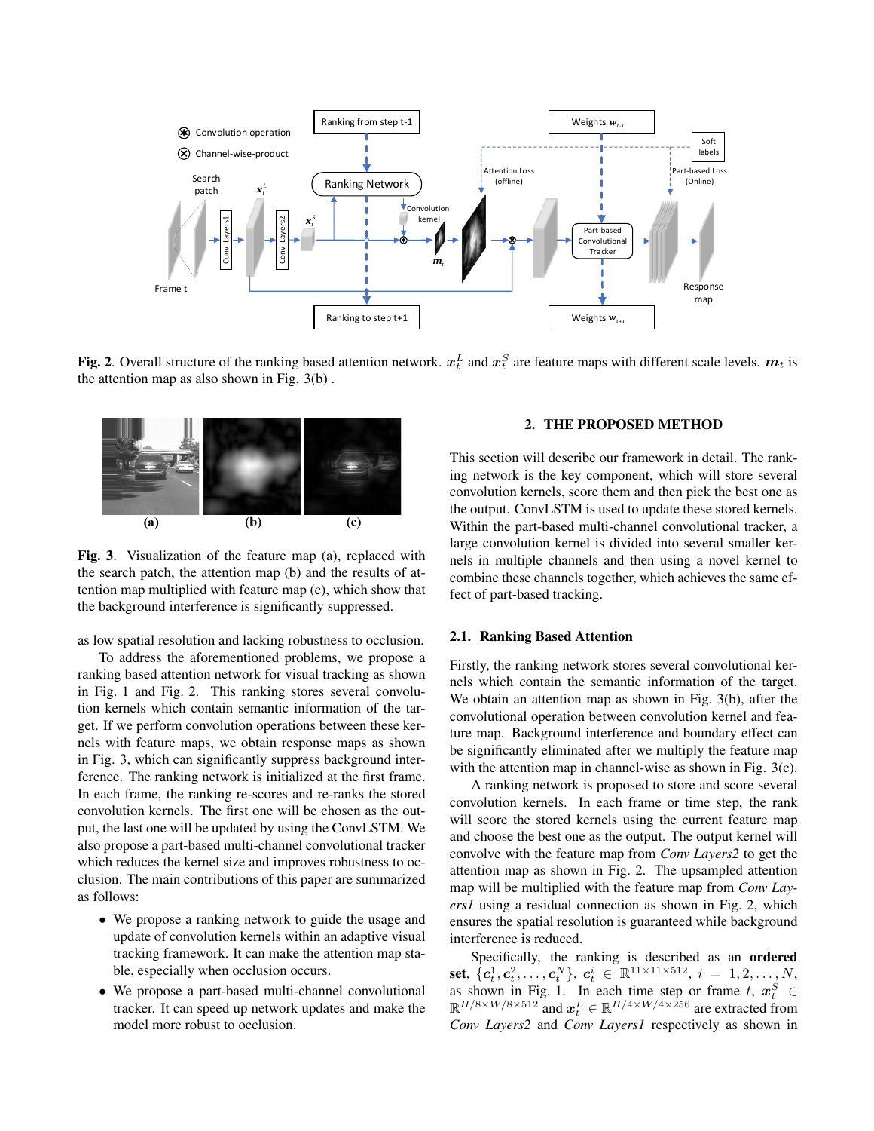

**Fig. 2**. Overall structure of the ranking based attention network.  $x_t^L$  and  $x_t^S$  are feature maps with different scale levels.  $m_t$  is the attention map as also shown in Fig. 3(b) .



Fig. 3. Visualization of the feature map (a), replaced with the search patch, the attention map (b) and the results of attention map multiplied with feature map (c), which show that the background interference is significantly suppressed.

as low spatial resolution and lacking robustness to occlusion.

To address the aforementioned problems, we propose a ranking based attention network for visual tracking as shown in Fig. 1 and Fig. 2. This ranking stores several convolution kernels which contain semantic information of the target. If we perform convolution operations between these kernels with feature maps, we obtain response maps as shown in Fig. 3, which can significantly suppress background interference. The ranking network is initialized at the first frame. In each frame, the ranking re-scores and re-ranks the stored convolution kernels. The first one will be chosen as the output, the last one will be updated by using the ConvLSTM. We also propose a part-based multi-channel convolutional tracker which reduces the kernel size and improves robustness to occlusion. The main contributions of this paper are summarized as follows:

- We propose a ranking network to guide the usage and update of convolution kernels within an adaptive visual tracking framework. It can make the attention map stable, especially when occlusion occurs.
- We propose a part-based multi-channel convolutional tracker. It can speed up network updates and make the model more robust to occlusion.

# 2. THE PROPOSED METHOD

This section will describe our framework in detail. The ranking network is the key component, which will store several convolution kernels, score them and then pick the best one as the output. ConvLSTM is used to update these stored kernels. Within the part-based multi-channel convolutional tracker, a large convolution kernel is divided into several smaller kernels in multiple channels and then using a novel kernel to combine these channels together, which achieves the same effect of part-based tracking.

#### 2.1. Ranking Based Attention

Firstly, the ranking network stores several convolutional kernels which contain the semantic information of the target. We obtain an attention map as shown in Fig. 3(b), after the convolutional operation between convolution kernel and feature map. Background interference and boundary effect can be significantly eliminated after we multiply the feature map with the attention map in channel-wise as shown in Fig. 3(c).

A ranking network is proposed to store and score several convolution kernels. In each frame or time step, the rank will score the stored kernels using the current feature map and choose the best one as the output. The output kernel will convolve with the feature map from *Conv Layers2* to get the attention map as shown in Fig. 2. The upsampled attention map will be multiplied with the feature map from *Conv Layers1* using a residual connection as shown in Fig. 2, which ensures the spatial resolution is guaranteed while background interference is reduced.

Specifically, the ranking is described as an ordered set,  $\{c_t^1, c_t^2, \ldots, c_t^N\}, c_t^i \in \mathbb{R}^{11 \times 11 \times 512}, i = 1, 2, \ldots, N,$ as shown in Fig. 1. In each time step or frame  $t$ ,  $x_t^S \in \mathbb{R}^{H/8 \times W/8 \times 512}$  and  $x_t^L \in \mathbb{R}^{H/4 \times W/4 \times 256}$  are extracted from *Conv Layers2* and *Conv Layers1* respectively as shown in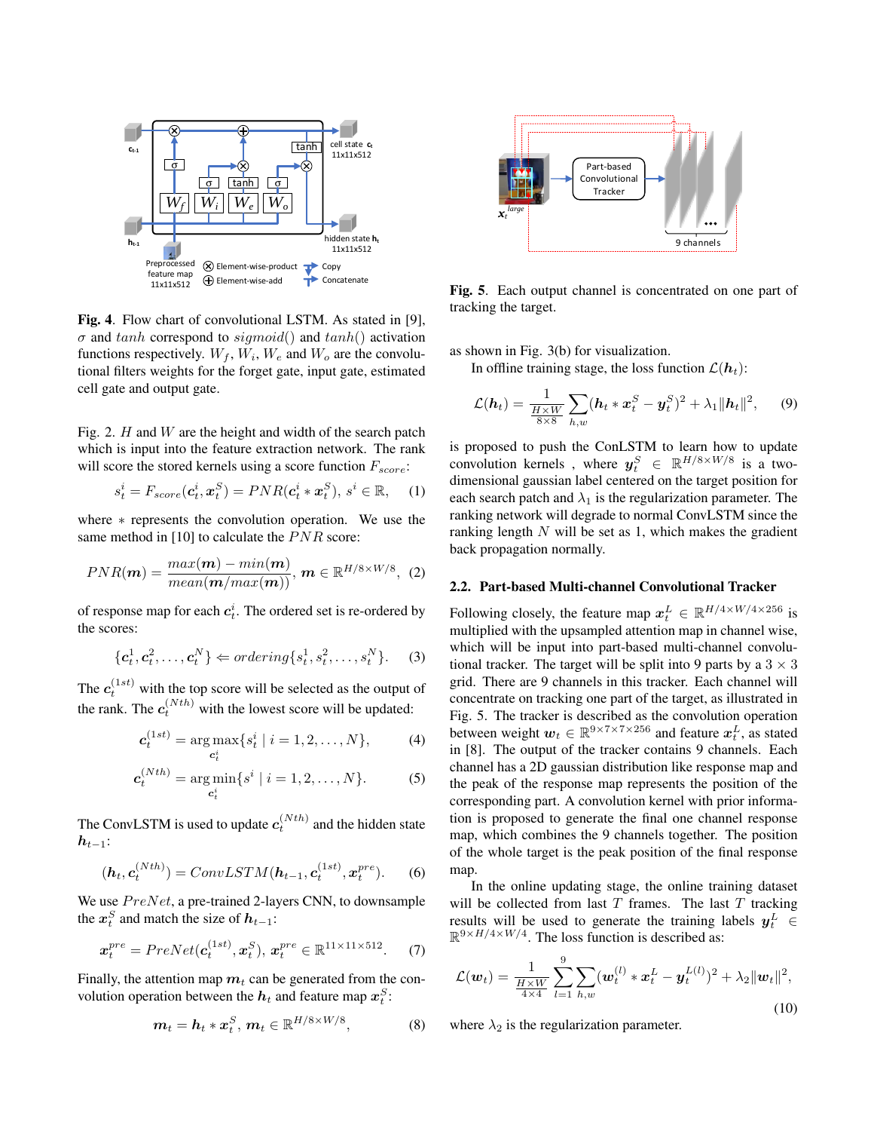

Fig. 4. Flow chart of convolutional LSTM. As stated in [9],  $\sigma$  and tanh correspond to sigmoid() and tanh() activation functions respectively.  $W_f$ ,  $W_i$ ,  $W_e$  and  $W_o$  are the convolutional filters weights for the forget gate, input gate, estimated cell gate and output gate.

Fig. 2.  $H$  and  $W$  are the height and width of the search patch which is input into the feature extraction network. The rank will score the stored kernels using a score function  $F_{score}$ :

$$
s_t^i = F_{score}(\mathbf{c}_t^i, \mathbf{x}_t^S) = PNR(\mathbf{c}_t^i * \mathbf{x}_t^S), s^i \in \mathbb{R}, \quad (1)
$$

where ∗ represents the convolution operation. We use the same method in [10] to calculate the  $PNR$  score:

$$
PNR(\boldsymbol{m}) = \frac{max(\boldsymbol{m}) - min(\boldsymbol{m})}{mean(\boldsymbol{m}/max(\boldsymbol{m}))}, \, \boldsymbol{m} \in \mathbb{R}^{H/8 \times W/8}, \,\, (2)
$$

of response map for each  $c_t^i$ . The ordered set is re-ordered by the scores:

$$
\{c_t^1, c_t^2, \dots, c_t^N\} \Leftarrow ordering\{s_t^1, s_t^2, \dots, s_t^N\}.
$$
 (3)

The  $c_t^{(1st)}$  with the top score will be selected as the output of the rank. The  $c_t^{(Nth)}$  with the lowest score will be updated:

$$
\mathbf{c}_{t}^{(1st)} = \arg \max_{\mathbf{c}_{t}^{i}} \{ s_{t}^{i} \mid i = 1, 2, ..., N \},\tag{4}
$$

$$
\mathbf{c}_{t}^{(Nth)} = \underset{\mathbf{c}_{t}^{i}}{\arg \min} \{ s^{i} \mid i = 1, 2, ..., N \}. \tag{5}
$$

The ConvLSTM is used to update  $c_t^{(Nth)}$  and the hidden state  $h_{t-1}$ :

$$
(\boldsymbol{h}_t, \boldsymbol{c}_t^{(Nth)}) = ConvLSTM(\boldsymbol{h}_{t-1}, \boldsymbol{c}_t^{(1st)}, \boldsymbol{x}_t^{pre}).
$$
 (6)

We use  $PreNet$ , a pre-trained 2-layers CNN, to downsample the  $x_t^S$  and match the size of  $h_{t-1}$ :

$$
\boldsymbol{x}_t^{pre} = PreNet(\boldsymbol{c}_t^{(1st)}, \boldsymbol{x}_t^{S}), \boldsymbol{x}_t^{pre} \in \mathbb{R}^{11 \times 11 \times 512}.
$$
 (7)

Finally, the attention map  $m_t$  can be generated from the convolution operation between the  $h_t$  and feature map  $x_t^S$ :

$$
\boldsymbol{m}_t = \boldsymbol{h}_t * \boldsymbol{x}_t^S, \, \boldsymbol{m}_t \in \mathbb{R}^{H/8 \times W/8}, \tag{8}
$$



Fig. 5. Each output channel is concentrated on one part of tracking the target.

as shown in Fig. 3(b) for visualization.

In offline training stage, the loss function  $\mathcal{L}(\mathbf{h}_t)$ :

$$
\mathcal{L}(\boldsymbol{h}_t) = \frac{1}{\frac{H \times W}{8 \times 8}} \sum_{h,w} (\boldsymbol{h}_t * \boldsymbol{x}_t^S - \boldsymbol{y}_t^S)^2 + \lambda_1 \|\boldsymbol{h}_t\|^2, \qquad (9)
$$

is proposed to push the ConLSTM to learn how to update convolution kernels, where  $y_t^S \in \mathbb{R}^{H/8 \times W/8}$  is a twodimensional gaussian label centered on the target position for each search patch and  $\lambda_1$  is the regularization parameter. The ranking network will degrade to normal ConvLSTM since the ranking length  $N$  will be set as 1, which makes the gradient back propagation normally.

#### 2.2. Part-based Multi-channel Convolutional Tracker

Following closely, the feature map  $x_t^L \in \mathbb{R}^{H/4 \times W/4 \times 256}$  is multiplied with the upsampled attention map in channel wise, which will be input into part-based multi-channel convolutional tracker. The target will be split into 9 parts by a  $3 \times 3$ grid. There are 9 channels in this tracker. Each channel will concentrate on tracking one part of the target, as illustrated in Fig. 5. The tracker is described as the convolution operation between weight  $w_t \in \mathbb{R}^{9 \times 7 \times 7 \times 256}$  and feature  $x_t^L$ , as stated in [8]. The output of the tracker contains 9 channels. Each channel has a 2D gaussian distribution like response map and the peak of the response map represents the position of the corresponding part. A convolution kernel with prior information is proposed to generate the final one channel response map, which combines the 9 channels together. The position of the whole target is the peak position of the final response map.

In the online updating stage, the online training dataset will be collected from last  $T$  frames. The last  $T$  tracking results will be used to generate the training labels  $y_t^L$   $\in$  $\mathbb{R}^{9 \times H/4 \times W/4}$ . The loss function is described as:

$$
\mathcal{L}(\boldsymbol{w}_t) = \frac{1}{\frac{H \times W}{4 \times 4}} \sum_{l=1}^{9} \sum_{h,w} (\boldsymbol{w}_t^{(l)} * \boldsymbol{x}_t^L - \boldsymbol{y}_t^{L(l)})^2 + \lambda_2 ||\boldsymbol{w}_t||^2,
$$
\n(10)

where  $\lambda_2$  is the regularization parameter.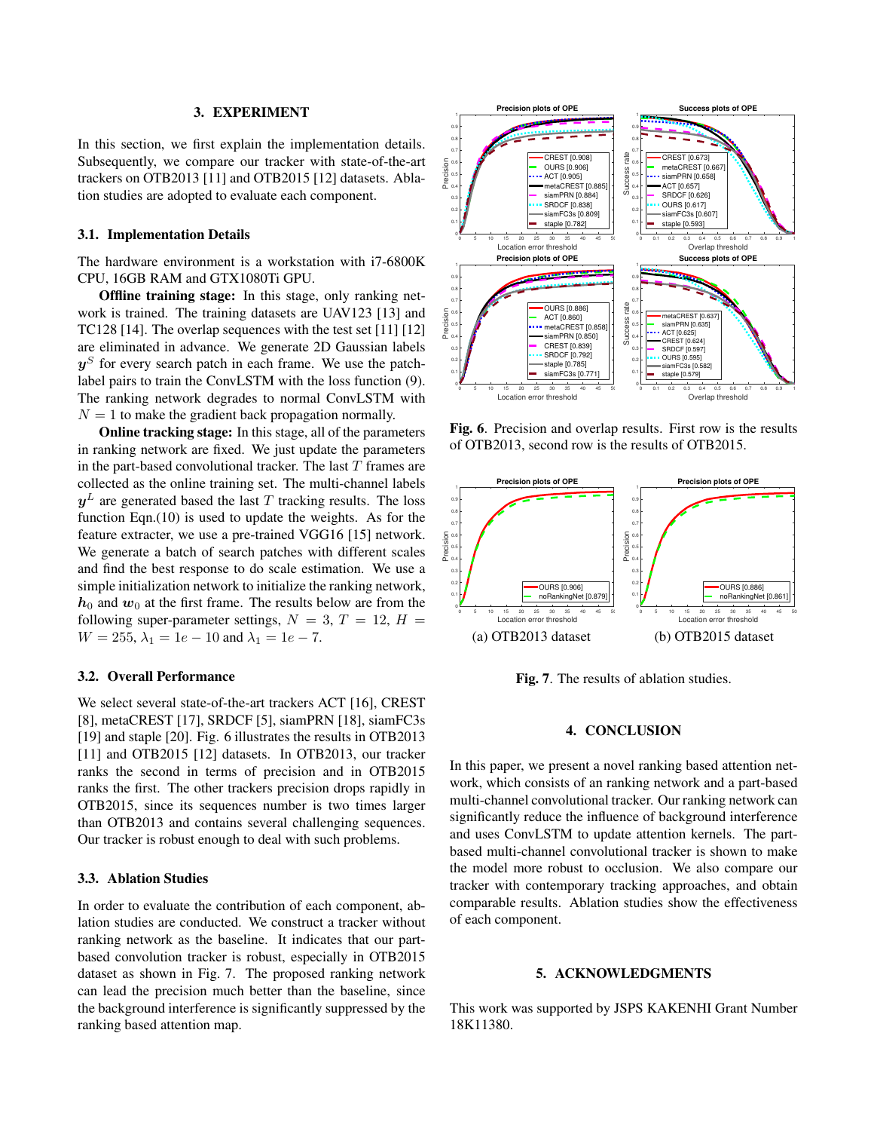#### 3. EXPERIMENT

In this section, we first explain the implementation details. Subsequently, we compare our tracker with state-of-the-art trackers on OTB2013 [11] and OTB2015 [12] datasets. Ablation studies are adopted to evaluate each component.

### 3.1. Implementation Details

The hardware environment is a workstation with i7-6800K CPU, 16GB RAM and GTX1080Ti GPU.

Offline training stage: In this stage, only ranking network is trained. The training datasets are UAV123 [13] and TC128 [14]. The overlap sequences with the test set [11] [12] are eliminated in advance. We generate 2D Gaussian labels  $y<sup>S</sup>$  for every search patch in each frame. We use the patchlabel pairs to train the ConvLSTM with the loss function (9). The ranking network degrades to normal ConvLSTM with  $N = 1$  to make the gradient back propagation normally.

Online tracking stage: In this stage, all of the parameters in ranking network are fixed. We just update the parameters in the part-based convolutional tracker. The last  $T$  frames are collected as the online training set. The multi-channel labels  $y^L$  are generated based the last T tracking results. The loss function Eqn.(10) is used to update the weights. As for the feature extracter, we use a pre-trained VGG16 [15] network. We generate a batch of search patches with different scales and find the best response to do scale estimation. We use a simple initialization network to initialize the ranking network,  $h_0$  and  $w_0$  at the first frame. The results below are from the following super-parameter settings,  $N = 3, T = 12, H =$  $W = 255$ ,  $\lambda_1 = 1e - 10$  and  $\lambda_1 = 1e - 7$ .

### 3.2. Overall Performance

We select several state-of-the-art trackers ACT [16], CREST [8], metaCREST [17], SRDCF [5], siamPRN [18], siamFC3s [19] and staple [20]. Fig. 6 illustrates the results in OTB2013 [11] and OTB2015 [12] datasets. In OTB2013, our tracker ranks the second in terms of precision and in OTB2015 ranks the first. The other trackers precision drops rapidly in OTB2015, since its sequences number is two times larger than OTB2013 and contains several challenging sequences. Our tracker is robust enough to deal with such problems.

# 3.3. Ablation Studies

In order to evaluate the contribution of each component, ablation studies are conducted. We construct a tracker without ranking network as the baseline. It indicates that our partbased convolution tracker is robust, especially in OTB2015 dataset as shown in Fig. 7. The proposed ranking network can lead the precision much better than the baseline, since the background interference is significantly suppressed by the ranking based attention map.



Fig. 6. Precision and overlap results. First row is the results of OTB2013, second row is the results of OTB2015.



Fig. 7. The results of ablation studies.

#### 4. CONCLUSION

In this paper, we present a novel ranking based attention network, which consists of an ranking network and a part-based multi-channel convolutional tracker. Our ranking network can significantly reduce the influence of background interference and uses ConvLSTM to update attention kernels. The partbased multi-channel convolutional tracker is shown to make the model more robust to occlusion. We also compare our tracker with contemporary tracking approaches, and obtain comparable results. Ablation studies show the effectiveness of each component.

#### 5. ACKNOWLEDGMENTS

This work was supported by JSPS KAKENHI Grant Number 18K11380.